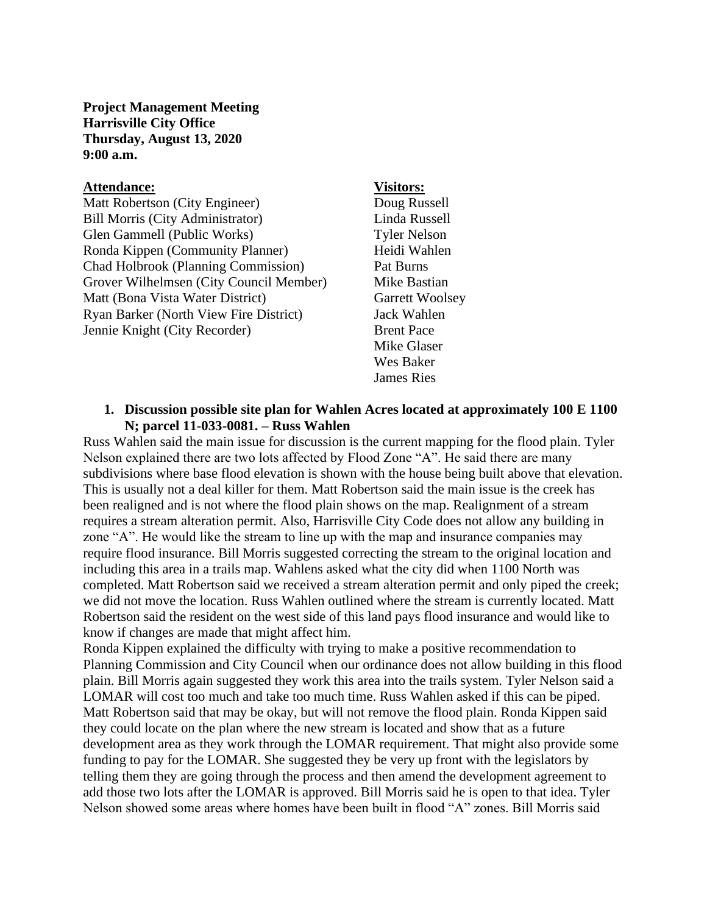**Project Management Meeting Harrisville City Office Thursday, August 13, 2020 9:00 a.m.**

#### **Attendance: Visitors:**

Matt Robertson (City Engineer) Doug Russell Bill Morris (City Administrator) Linda Russell Glen Gammell (Public Works) Tyler Nelson Ronda Kippen (Community Planner) Heidi Wahlen Chad Holbrook (Planning Commission) Pat Burns Grover Wilhelmsen (City Council Member) Mike Bastian Matt (Bona Vista Water District) Garrett Woolsey Ryan Barker (North View Fire District) Jack Wahlen Jennie Knight (City Recorder) Brent Pace

Mike Glaser Wes Baker James Ries

### **1. Discussion possible site plan for Wahlen Acres located at approximately 100 E 1100 N; parcel 11-033-0081. – Russ Wahlen**

Russ Wahlen said the main issue for discussion is the current mapping for the flood plain. Tyler Nelson explained there are two lots affected by Flood Zone "A". He said there are many subdivisions where base flood elevation is shown with the house being built above that elevation. This is usually not a deal killer for them. Matt Robertson said the main issue is the creek has been realigned and is not where the flood plain shows on the map. Realignment of a stream requires a stream alteration permit. Also, Harrisville City Code does not allow any building in zone "A". He would like the stream to line up with the map and insurance companies may require flood insurance. Bill Morris suggested correcting the stream to the original location and including this area in a trails map. Wahlens asked what the city did when 1100 North was completed. Matt Robertson said we received a stream alteration permit and only piped the creek; we did not move the location. Russ Wahlen outlined where the stream is currently located. Matt Robertson said the resident on the west side of this land pays flood insurance and would like to know if changes are made that might affect him.

Ronda Kippen explained the difficulty with trying to make a positive recommendation to Planning Commission and City Council when our ordinance does not allow building in this flood plain. Bill Morris again suggested they work this area into the trails system. Tyler Nelson said a LOMAR will cost too much and take too much time. Russ Wahlen asked if this can be piped. Matt Robertson said that may be okay, but will not remove the flood plain. Ronda Kippen said they could locate on the plan where the new stream is located and show that as a future development area as they work through the LOMAR requirement. That might also provide some funding to pay for the LOMAR. She suggested they be very up front with the legislators by telling them they are going through the process and then amend the development agreement to add those two lots after the LOMAR is approved. Bill Morris said he is open to that idea. Tyler Nelson showed some areas where homes have been built in flood "A" zones. Bill Morris said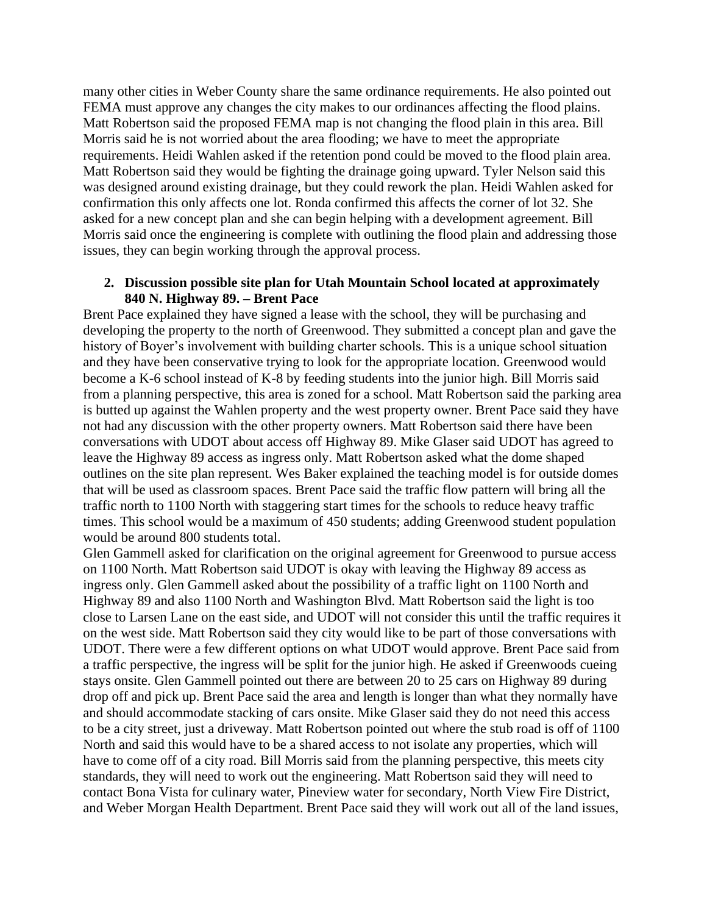many other cities in Weber County share the same ordinance requirements. He also pointed out FEMA must approve any changes the city makes to our ordinances affecting the flood plains. Matt Robertson said the proposed FEMA map is not changing the flood plain in this area. Bill Morris said he is not worried about the area flooding; we have to meet the appropriate requirements. Heidi Wahlen asked if the retention pond could be moved to the flood plain area. Matt Robertson said they would be fighting the drainage going upward. Tyler Nelson said this was designed around existing drainage, but they could rework the plan. Heidi Wahlen asked for confirmation this only affects one lot. Ronda confirmed this affects the corner of lot 32. She asked for a new concept plan and she can begin helping with a development agreement. Bill Morris said once the engineering is complete with outlining the flood plain and addressing those issues, they can begin working through the approval process.

### **2. Discussion possible site plan for Utah Mountain School located at approximately 840 N. Highway 89. – Brent Pace**

Brent Pace explained they have signed a lease with the school, they will be purchasing and developing the property to the north of Greenwood. They submitted a concept plan and gave the history of Boyer's involvement with building charter schools. This is a unique school situation and they have been conservative trying to look for the appropriate location. Greenwood would become a K-6 school instead of K-8 by feeding students into the junior high. Bill Morris said from a planning perspective, this area is zoned for a school. Matt Robertson said the parking area is butted up against the Wahlen property and the west property owner. Brent Pace said they have not had any discussion with the other property owners. Matt Robertson said there have been conversations with UDOT about access off Highway 89. Mike Glaser said UDOT has agreed to leave the Highway 89 access as ingress only. Matt Robertson asked what the dome shaped outlines on the site plan represent. Wes Baker explained the teaching model is for outside domes that will be used as classroom spaces. Brent Pace said the traffic flow pattern will bring all the traffic north to 1100 North with staggering start times for the schools to reduce heavy traffic times. This school would be a maximum of 450 students; adding Greenwood student population would be around 800 students total.

Glen Gammell asked for clarification on the original agreement for Greenwood to pursue access on 1100 North. Matt Robertson said UDOT is okay with leaving the Highway 89 access as ingress only. Glen Gammell asked about the possibility of a traffic light on 1100 North and Highway 89 and also 1100 North and Washington Blvd. Matt Robertson said the light is too close to Larsen Lane on the east side, and UDOT will not consider this until the traffic requires it on the west side. Matt Robertson said they city would like to be part of those conversations with UDOT. There were a few different options on what UDOT would approve. Brent Pace said from a traffic perspective, the ingress will be split for the junior high. He asked if Greenwoods cueing stays onsite. Glen Gammell pointed out there are between 20 to 25 cars on Highway 89 during drop off and pick up. Brent Pace said the area and length is longer than what they normally have and should accommodate stacking of cars onsite. Mike Glaser said they do not need this access to be a city street, just a driveway. Matt Robertson pointed out where the stub road is off of 1100 North and said this would have to be a shared access to not isolate any properties, which will have to come off of a city road. Bill Morris said from the planning perspective, this meets city standards, they will need to work out the engineering. Matt Robertson said they will need to contact Bona Vista for culinary water, Pineview water for secondary, North View Fire District, and Weber Morgan Health Department. Brent Pace said they will work out all of the land issues,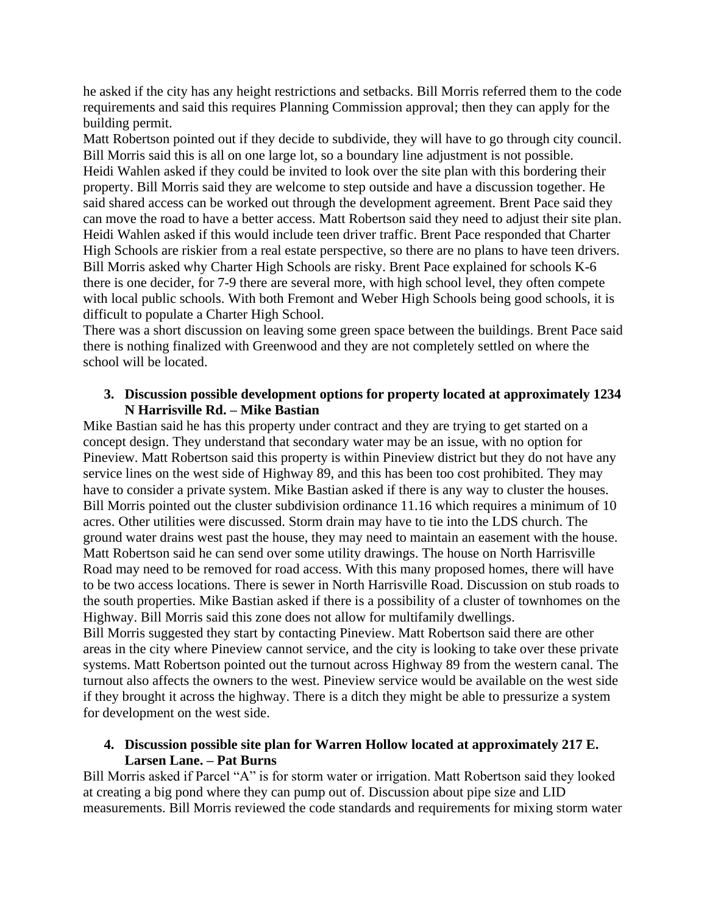he asked if the city has any height restrictions and setbacks. Bill Morris referred them to the code requirements and said this requires Planning Commission approval; then they can apply for the building permit.

Matt Robertson pointed out if they decide to subdivide, they will have to go through city council. Bill Morris said this is all on one large lot, so a boundary line adjustment is not possible. Heidi Wahlen asked if they could be invited to look over the site plan with this bordering their property. Bill Morris said they are welcome to step outside and have a discussion together. He said shared access can be worked out through the development agreement. Brent Pace said they can move the road to have a better access. Matt Robertson said they need to adjust their site plan. Heidi Wahlen asked if this would include teen driver traffic. Brent Pace responded that Charter High Schools are riskier from a real estate perspective, so there are no plans to have teen drivers. Bill Morris asked why Charter High Schools are risky. Brent Pace explained for schools K-6 there is one decider, for 7-9 there are several more, with high school level, they often compete with local public schools. With both Fremont and Weber High Schools being good schools, it is difficult to populate a Charter High School.

There was a short discussion on leaving some green space between the buildings. Brent Pace said there is nothing finalized with Greenwood and they are not completely settled on where the school will be located.

## **3. Discussion possible development options for property located at approximately 1234 N Harrisville Rd. – Mike Bastian**

Mike Bastian said he has this property under contract and they are trying to get started on a concept design. They understand that secondary water may be an issue, with no option for Pineview. Matt Robertson said this property is within Pineview district but they do not have any service lines on the west side of Highway 89, and this has been too cost prohibited. They may have to consider a private system. Mike Bastian asked if there is any way to cluster the houses. Bill Morris pointed out the cluster subdivision ordinance 11.16 which requires a minimum of 10 acres. Other utilities were discussed. Storm drain may have to tie into the LDS church. The ground water drains west past the house, they may need to maintain an easement with the house. Matt Robertson said he can send over some utility drawings. The house on North Harrisville Road may need to be removed for road access. With this many proposed homes, there will have to be two access locations. There is sewer in North Harrisville Road. Discussion on stub roads to the south properties. Mike Bastian asked if there is a possibility of a cluster of townhomes on the Highway. Bill Morris said this zone does not allow for multifamily dwellings.

Bill Morris suggested they start by contacting Pineview. Matt Robertson said there are other areas in the city where Pineview cannot service, and the city is looking to take over these private systems. Matt Robertson pointed out the turnout across Highway 89 from the western canal. The turnout also affects the owners to the west. Pineview service would be available on the west side if they brought it across the highway. There is a ditch they might be able to pressurize a system for development on the west side.

# **4. Discussion possible site plan for Warren Hollow located at approximately 217 E. Larsen Lane. – Pat Burns**

Bill Morris asked if Parcel "A" is for storm water or irrigation. Matt Robertson said they looked at creating a big pond where they can pump out of. Discussion about pipe size and LID measurements. Bill Morris reviewed the code standards and requirements for mixing storm water